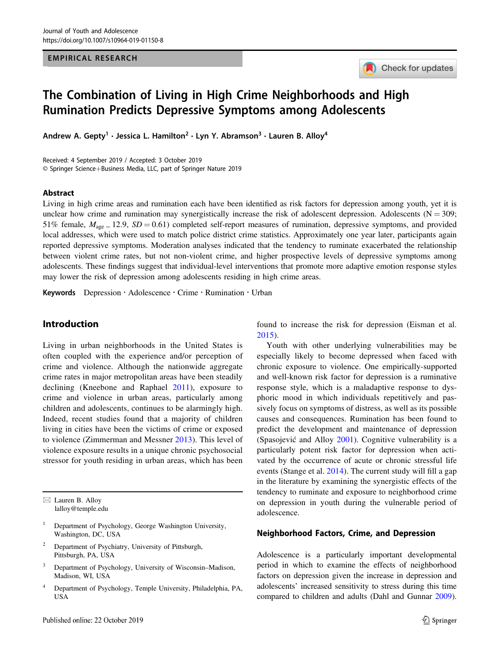#### EMPIRICAL RESEARCH



# The Combination of Living in High Crime Neighborhoods and High Rumination Predicts Depressive Symptoms among Adolescents

Andrew A. Gepty<sup>1</sup> • Jessica L. Hamilton<sup>2</sup> • Lyn Y. Abramson<sup>3</sup> • Lauren B. Alloy<sup>4</sup>

Received: 4 September 2019 / Accepted: 3 October 2019 © Springer Science+Business Media, LLC, part of Springer Nature 2019

#### Abstract

Living in high crime areas and rumination each have been identified as risk factors for depression among youth, yet it is unclear how crime and rumination may synergistically increase the risk of adolescent depression. Adolescents ( $N = 309$ ; 51% female,  $M_{\text{age}} = 12.9$ ,  $SD = 0.61$ ) completed self-report measures of rumination, depressive symptoms, and provided local addresses, which were used to match police district crime statistics. Approximately one year later, participants again reported depressive symptoms. Moderation analyses indicated that the tendency to ruminate exacerbated the relationship between violent crime rates, but not non-violent crime, and higher prospective levels of depressive symptoms among adolescents. These findings suggest that individual-level interventions that promote more adaptive emotion response styles may lower the risk of depression among adolescents residing in high crime areas.

Keywords Depression · Adolescence · Crime · Rumination · Urban

# Introduction

Living in urban neighborhoods in the United States is often coupled with the experience and/or perception of crime and violence. Although the nationwide aggregate crime rates in major metropolitan areas have been steadily declining (Kneebone and Raphael [2011](#page-10-0)), exposure to crime and violence in urban areas, particularly among children and adolescents, continues to be alarmingly high. Indeed, recent studies found that a majority of children living in cities have been the victims of crime or exposed to violence (Zimmerman and Messner [2013](#page-10-0)). This level of violence exposure results in a unique chronic psychosocial stressor for youth residing in urban areas, which has been

 $\boxtimes$  Lauren B. Alloy [lalloy@temple.edu](mailto:lalloy@temple.edu)

- <sup>1</sup> Department of Psychology, George Washington University, Washington, DC, USA
- <sup>2</sup> Department of Psychiatry, University of Pittsburgh, Pittsburgh, PA, USA
- <sup>3</sup> Department of Psychology, University of Wisconsin-Madison, Madison, WI, USA
- <sup>4</sup> Department of Psychology, Temple University, Philadelphia, PA, USA

found to increase the risk for depression (Eisman et al. [2015\)](#page-9-0).

Youth with other underlying vulnerabilities may be especially likely to become depressed when faced with chronic exposure to violence. One empirically-supported and well-known risk factor for depression is a ruminative response style, which is a maladaptive response to dysphoric mood in which individuals repetitively and passively focus on symptoms of distress, as well as its possible causes and consequences. Rumination has been found to predict the development and maintenance of depression (Spasojević and Alloy [2001\)](#page-10-0). Cognitive vulnerability is a particularly potent risk factor for depression when activated by the occurrence of acute or chronic stressful life events (Stange et al. [2014\)](#page-10-0). The current study will fill a gap in the literature by examining the synergistic effects of the tendency to ruminate and exposure to neighborhood crime on depression in youth during the vulnerable period of adolescence.

#### Neighborhood Factors, Crime, and Depression

Adolescence is a particularly important developmental period in which to examine the effects of neighborhood factors on depression given the increase in depression and adolescents' increased sensitivity to stress during this time compared to children and adults (Dahl and Gunnar [2009\)](#page-9-0).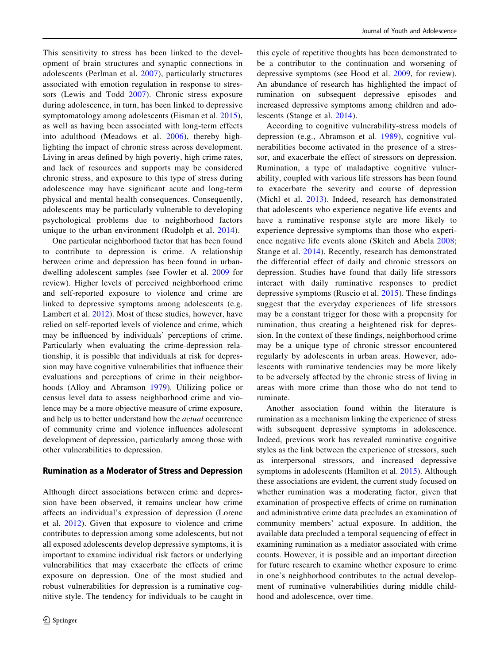This sensitivity to stress has been linked to the development of brain structures and synaptic connections in adolescents (Perlman et al. [2007](#page-10-0)), particularly structures associated with emotion regulation in response to stressors (Lewis and Todd [2007](#page-10-0)). Chronic stress exposure during adolescence, in turn, has been linked to depressive symptomatology among adolescents (Eisman et al. [2015](#page-9-0)), as well as having been associated with long-term effects into adulthood (Meadows et al. [2006\)](#page-10-0), thereby highlighting the impact of chronic stress across development. Living in areas defined by high poverty, high crime rates, and lack of resources and supports may be considered chronic stress, and exposure to this type of stress during adolescence may have significant acute and long-term physical and mental health consequences. Consequently, adolescents may be particularly vulnerable to developing psychological problems due to neighborhood factors unique to the urban environment (Rudolph et al. [2014\)](#page-10-0).

One particular neighborhood factor that has been found to contribute to depression is crime. A relationship between crime and depression has been found in urbandwelling adolescent samples (see Fowler et al. [2009](#page-9-0) for review). Higher levels of perceived neighborhood crime and self-reported exposure to violence and crime are linked to depressive symptoms among adolescents (e.g. Lambert et al. [2012](#page-10-0)). Most of these studies, however, have relied on self-reported levels of violence and crime, which may be influenced by individuals' perceptions of crime. Particularly when evaluating the crime-depression relationship, it is possible that individuals at risk for depression may have cognitive vulnerabilities that influence their evaluations and perceptions of crime in their neighborhoods (Alloy and Abramson [1979](#page-9-0)). Utilizing police or census level data to assess neighborhood crime and violence may be a more objective measure of crime exposure, and help us to better understand how the actual occurrence of community crime and violence influences adolescent development of depression, particularly among those with other vulnerabilities to depression.

#### Rumination as a Moderator of Stress and Depression

Although direct associations between crime and depression have been observed, it remains unclear how crime affects an individual's expression of depression (Lorenc et al. [2012](#page-10-0)). Given that exposure to violence and crime contributes to depression among some adolescents, but not all exposed adolescents develop depressive symptoms, it is important to examine individual risk factors or underlying vulnerabilities that may exacerbate the effects of crime exposure on depression. One of the most studied and robust vulnerabilities for depression is a ruminative cognitive style. The tendency for individuals to be caught in

this cycle of repetitive thoughts has been demonstrated to be a contributor to the continuation and worsening of depressive symptoms (see Hood et al. [2009](#page-9-0), for review). An abundance of research has highlighted the impact of rumination on subsequent depressive episodes and increased depressive symptoms among children and adolescents (Stange et al. [2014\)](#page-10-0).

According to cognitive vulnerability-stress models of depression (e.g., Abramson et al. [1989](#page-9-0)), cognitive vulnerabilities become activated in the presence of a stressor, and exacerbate the effect of stressors on depression. Rumination, a type of maladaptive cognitive vulnerability, coupled with various life stressors has been found to exacerbate the severity and course of depression (Michl et al. [2013\)](#page-10-0). Indeed, research has demonstrated that adolescents who experience negative life events and have a ruminative response style are more likely to experience depressive symptoms than those who experience negative life events alone (Skitch and Abela [2008;](#page-10-0) Stange et al. [2014](#page-10-0)). Recently, research has demonstrated the differential effect of daily and chronic stressors on depression. Studies have found that daily life stressors interact with daily ruminative responses to predict depressive symptoms (Ruscio et al. [2015](#page-10-0)). These findings suggest that the everyday experiences of life stressors may be a constant trigger for those with a propensity for rumination, thus creating a heightened risk for depression. In the context of these findings, neighborhood crime may be a unique type of chronic stressor encountered regularly by adolescents in urban areas. However, adolescents with ruminative tendencies may be more likely to be adversely affected by the chronic stress of living in areas with more crime than those who do not tend to ruminate.

Another association found within the literature is rumination as a mechanism linking the experience of stress with subsequent depressive symptoms in adolescence. Indeed, previous work has revealed ruminative cognitive styles as the link between the experience of stressors, such as interpersonal stressors, and increased depressive symptoms in adolescents (Hamilton et al. [2015](#page-9-0)). Although these associations are evident, the current study focused on whether rumination was a moderating factor, given that examination of prospective effects of crime on rumination and administrative crime data precludes an examination of community members' actual exposure. In addition, the available data precluded a temporal sequencing of effect in examining rumination as a mediator associated with crime counts. However, it is possible and an important direction for future research to examine whether exposure to crime in one's neighborhood contributes to the actual development of ruminative vulnerabilities during middle childhood and adolescence, over time.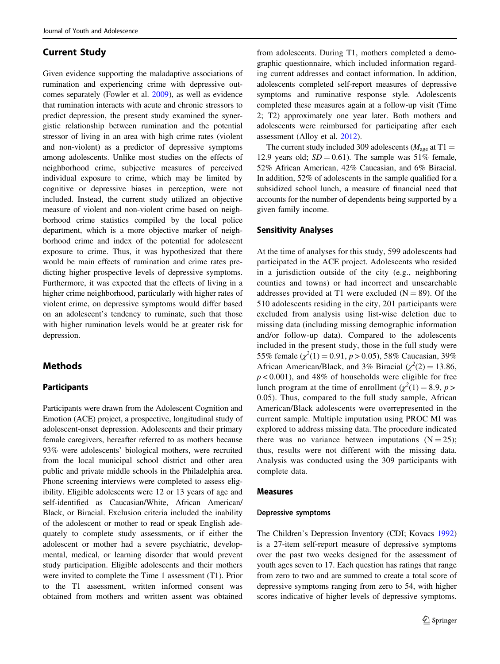# Current Study

Given evidence supporting the maladaptive associations of rumination and experiencing crime with depressive outcomes separately (Fowler et al. [2009](#page-9-0)), as well as evidence that rumination interacts with acute and chronic stressors to predict depression, the present study examined the synergistic relationship between rumination and the potential stressor of living in an area with high crime rates (violent and non-violent) as a predictor of depressive symptoms among adolescents. Unlike most studies on the effects of neighborhood crime, subjective measures of perceived individual exposure to crime, which may be limited by cognitive or depressive biases in perception, were not included. Instead, the current study utilized an objective measure of violent and non-violent crime based on neighborhood crime statistics compiled by the local police department, which is a more objective marker of neighborhood crime and index of the potential for adolescent exposure to crime. Thus, it was hypothesized that there would be main effects of rumination and crime rates predicting higher prospective levels of depressive symptoms. Furthermore, it was expected that the effects of living in a higher crime neighborhood, particularly with higher rates of violent crime, on depressive symptoms would differ based on an adolescent's tendency to ruminate, such that those with higher rumination levels would be at greater risk for depression.

# Methods

#### Participants

Participants were drawn from the Adolescent Cognition and Emotion (ACE) project, a prospective, longitudinal study of adolescent-onset depression. Adolescents and their primary female caregivers, hereafter referred to as mothers because 93% were adolescents' biological mothers, were recruited from the local municipal school district and other area public and private middle schools in the Philadelphia area. Phone screening interviews were completed to assess eligibility. Eligible adolescents were 12 or 13 years of age and self-identified as Caucasian/White, African American/ Black, or Biracial. Exclusion criteria included the inability of the adolescent or mother to read or speak English adequately to complete study assessments, or if either the adolescent or mother had a severe psychiatric, developmental, medical, or learning disorder that would prevent study participation. Eligible adolescents and their mothers were invited to complete the Time 1 assessment (T1). Prior to the T1 assessment, written informed consent was obtained from mothers and written assent was obtained

from adolescents. During T1, mothers completed a demographic questionnaire, which included information regarding current addresses and contact information. In addition, adolescents completed self-report measures of depressive symptoms and ruminative response style. Adolescents completed these measures again at a follow-up visit (Time 2; T2) approximately one year later. Both mothers and adolescents were reimbursed for participating after each assessment (Alloy et al. [2012\)](#page-9-0).

The current study included 309 adolescents ( $M<sub>age</sub>$  at T1 = 12.9 years old;  $SD = 0.61$ ). The sample was 51% female, 52% African American, 42% Caucasian, and 6% Biracial. In addition, 52% of adolescents in the sample qualified for a subsidized school lunch, a measure of financial need that accounts for the number of dependents being supported by a given family income.

#### Sensitivity Analyses

At the time of analyses for this study, 599 adolescents had participated in the ACE project. Adolescents who resided in a jurisdiction outside of the city (e.g., neighboring counties and towns) or had incorrect and unsearchable addresses provided at T1 were excluded  $(N = 89)$ . Of the 510 adolescents residing in the city, 201 participants were excluded from analysis using list-wise deletion due to missing data (including missing demographic information and/or follow-up data). Compared to the adolescents included in the present study, those in the full study were 55% female  $(\chi^2(1) = 0.91, p > 0.05)$ , 58% Caucasian, 39% African American/Black, and 3% Biracial  $(\chi^2(2) = 13.86,$  $p < 0.001$ ), and 48% of households were eligible for free lunch program at the time of enrollment ( $\chi^2(1) = 8.9$ , p > 0.05). Thus, compared to the full study sample, African American/Black adolescents were overrepresented in the current sample. Multiple imputation using PROC MI was explored to address missing data. The procedure indicated there was no variance between imputations  $(N = 25)$ ; thus, results were not different with the missing data. Analysis was conducted using the 309 participants with complete data.

#### Measures

#### Depressive symptoms

The Children's Depression Inventory (CDI; Kovacs [1992](#page-10-0)) is a 27-item self-report measure of depressive symptoms over the past two weeks designed for the assessment of youth ages seven to 17. Each question has ratings that range from zero to two and are summed to create a total score of depressive symptoms ranging from zero to 54, with higher scores indicative of higher levels of depressive symptoms.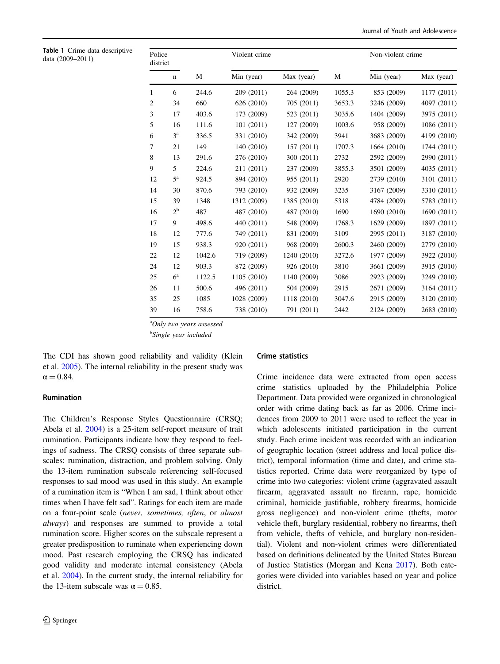district Violent crime Non-violent crime n M Min (year) Max (year) M Min (year) Max (year) 1 6 244.6 209 (2011) 264 (2009) 1055.3 853 (2009) 1177 (2011) 2 34 660 626 (2010) 705 (2011) 3653.3 3246 (2009) 4097 (2011) 3 17 403.6 173 (2009) 523 (2011) 3035.6 1404 (2009) 3975 (2011) 5 16 111.6 101 (2011) 127 (2009) 1003.6 958 (2009) 1086 (2011) 6 3a 336.5 331 (2010) 342 (2009) 3941 3683 (2009) 4199 (2010) 7 21 149 140 (2010) 157 (2011) 1707.3 1664 (2010) 1744 (2011) 8 13 291.6 276 (2010) 300 (2011) 2732 2592 (2009) 2990 (2011) 9 5 224.6 211 (2011) 237 (2009) 3855.3 3501 (2009) 4035 (2011) 12 5a 924.5 894 (2010) 955 (2011) 2920 2739 (2010) 3101 (2011) 14 30 870.6 793 (2010) 932 (2009) 3235 3167 (2009) 3310 (2011) 15 39 1348 1312 (2009) 1385 (2010) 5318 4784 (2009) 5783 (2011) 16 2b 487 487 (2010) 487 (2010) 1690 1690 (2010) 1690 (2011) 17 9 498.6 440 (2011) 548 (2009) 1768.3 1629 (2009) 1897 (2011) 18 12 777.6 749 (2011) 831 (2009) 3109 2995 (2011) 3187 (2010) 19 15 938.3 920 (2011) 968 (2009) 2600.3 2460 (2009) 2779 (2010) 22 12 1042.6 719 (2009) 1240 (2010) 3272.6 1977 (2009) 3922 (2010) 24 12 903.3 872 (2009) 926 (2010) 3810 3661 (2009) 3915 (2010) 25 6a 1122.5 1105 (2010) 1140 (2009) 3086 2923 (2009) 3249 (2010) 26 11 500.6 496 (2011) 504 (2009) 2915 2671 (2009) 3164 (2011) 35 25 1085 1028 (2009) 1118 (2010) 3047.6 2915 (2009) 3120 (2010) 39 16 758.6 738 (2010) 791 (2011) 2442 2124 (2009) 2683 (2010)

<sup>a</sup>Only two years assessed

<sup>b</sup>Single year included

The CDI has shown good reliability and validity (Klein et al. [2005](#page-9-0)). The internal reliability in the present study was  $\alpha = 0.84.$ 

#### Rumination

The Children's Response Styles Questionnaire (CRSQ; Abela et al. [2004\)](#page-9-0) is a 25-item self-report measure of trait rumination. Participants indicate how they respond to feelings of sadness. The CRSQ consists of three separate subscales: rumination, distraction, and problem solving. Only the 13-item rumination subscale referencing self-focused responses to sad mood was used in this study. An example of a rumination item is "When I am sad, I think about other times when I have felt sad". Ratings for each item are made on a four-point scale (never, sometimes, often, or almost always) and responses are summed to provide a total rumination score. Higher scores on the subscale represent a greater predisposition to ruminate when experiencing down mood. Past research employing the CRSQ has indicated good validity and moderate internal consistency (Abela et al. [2004\)](#page-9-0). In the current study, the internal reliability for the 13-item subscale was  $\alpha = 0.85$ .

#### Crime statistics

Crime incidence data were extracted from open access crime statistics uploaded by the Philadelphia Police Department. Data provided were organized in chronological order with crime dating back as far as 2006. Crime incidences from 2009 to 2011 were used to reflect the year in which adolescents initiated participation in the current study. Each crime incident was recorded with an indication of geographic location (street address and local police district), temporal information (time and date), and crime statistics reported. Crime data were reorganized by type of crime into two categories: violent crime (aggravated assault firearm, aggravated assault no firearm, rape, homicide criminal, homicide justifiable, robbery firearms, homicide gross negligence) and non-violent crime (thefts, motor vehicle theft, burglary residential, robbery no firearms, theft from vehicle, thefts of vehicle, and burglary non-residential). Violent and non-violent crimes were differentiated based on definitions delineated by the United States Bureau of Justice Statistics (Morgan and Kena [2017\)](#page-10-0). Both categories were divided into variables based on year and police district.

#### <span id="page-3-0"></span>Table 1 Crime data descriptive **Table 1** Crime data descriptive  $\frac{1}{2009-2011}$  Police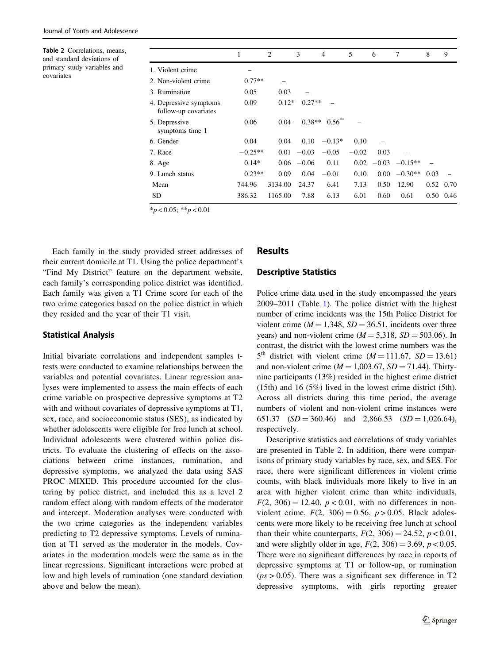<span id="page-4-0"></span>Table 2 Correlations, means, and standard deviations of primary study variables and covariates

|                                                | 1         | 2       | 3             | $\overline{4}$ | 5       | 6    | 7                 | 8    | 9    |
|------------------------------------------------|-----------|---------|---------------|----------------|---------|------|-------------------|------|------|
| 1. Violent crime                               |           |         |               |                |         |      |                   |      |      |
| 2. Non-violent crime                           | $0.77**$  |         |               |                |         |      |                   |      |      |
| 3. Rumination                                  | 0.05      | 0.03    |               |                |         |      |                   |      |      |
| 4. Depressive symptoms<br>follow-up covariates | 0.09      | $0.12*$ | $0.27**$      |                |         |      |                   |      |      |
| 5. Depressive<br>symptoms time 1               | 0.06      | 0.04    | $0.38**$      | $0.56***$      |         |      |                   |      |      |
| 6. Gender                                      | 0.04      | 0.04    | 0.10          | $-0.13*$       | 0.10    |      |                   |      |      |
| 7. Race                                        | $-0.25**$ | 0.01    | $-0.03$       | $-0.05$        | $-0.02$ | 0.03 |                   |      |      |
| 8. Age                                         | $0.14*$   |         | $0.06 - 0.06$ | 0.11           | 0.02    |      | $-0.03$ $-0.15**$ |      |      |
| 9. Lunch status                                | $0.23**$  | 0.09    | 0.04          | $-0.01$        | 0.10    | 0.00 | $-0.30**$         | 0.03 |      |
| Mean                                           | 744.96    | 3134.00 | 24.37         | 6.41           | 7.13    | 0.50 | 12.90             | 0.52 | 0.70 |
| <b>SD</b>                                      | 386.32    | 1165.00 | 7.88          | 6.13           | 6.01    | 0.60 | 0.61              | 0.50 | 0.46 |

 $*_{p}$  < 0.05;  $*_{p}$  < 0.01

Each family in the study provided street addresses of their current domicile at T1. Using the police department's "Find My District" feature on the department website, each family's corresponding police district was identified. Each family was given a T1 Crime score for each of the two crime categories based on the police district in which they resided and the year of their T1 visit.

## Statistical Analysis

Initial bivariate correlations and independent samples ttests were conducted to examine relationships between the variables and potential covariates. Linear regression analyses were implemented to assess the main effects of each crime variable on prospective depressive symptoms at T2 with and without covariates of depressive symptoms at T1, sex, race, and socioeconomic status (SES), as indicated by whether adolescents were eligible for free lunch at school. Individual adolescents were clustered within police districts. To evaluate the clustering of effects on the associations between crime instances, rumination, and depressive symptoms, we analyzed the data using SAS PROC MIXED. This procedure accounted for the clustering by police district, and included this as a level 2 random effect along with random effects of the moderator and intercept. Moderation analyses were conducted with the two crime categories as the independent variables predicting to T2 depressive symptoms. Levels of rumination at T1 served as the moderator in the models. Covariates in the moderation models were the same as in the linear regressions. Significant interactions were probed at low and high levels of rumination (one standard deviation above and below the mean).

# Results

### Descriptive Statistics

Police crime data used in the study encompassed the years 2009–2011 (Table [1\)](#page-3-0). The police district with the highest number of crime incidents was the 15th Police District for violent crime ( $M = 1,348$ ,  $SD = 36.51$ , incidents over three years) and non-violent crime ( $M = 5,318$ ,  $SD = 503.06$ ). In contrast, the district with the lowest crime numbers was the  $5<sup>th</sup>$  district with violent crime ( $M = 111.67$ ,  $SD = 13.61$ ) and non-violent crime ( $M = 1,003.67$ ,  $SD = 71.44$ ). Thirtynine participants (13%) resided in the highest crime district (15th) and 16 (5%) lived in the lowest crime district (5th). Across all districts during this time period, the average numbers of violent and non-violent crime instances were 651.37  $(SD = 360.46)$  and 2,866.53  $(SD = 1,026.64)$ , respectively.

Descriptive statistics and correlations of study variables are presented in Table 2. In addition, there were comparisons of primary study variables by race, sex, and SES. For race, there were significant differences in violent crime counts, with black individuals more likely to live in an area with higher violent crime than white individuals,  $F(2, 306) = 12.40, p < 0.01$ , with no differences in nonviolent crime,  $F(2, 306) = 0.56$ ,  $p > 0.05$ . Black adolescents were more likely to be receiving free lunch at school than their white counterparts,  $F(2, 306) = 24.52$ ,  $p < 0.01$ , and were slightly older in age,  $F(2, 306) = 3.69$ ,  $p < 0.05$ . There were no significant differences by race in reports of depressive symptoms at T1 or follow-up, or rumination  $(ps > 0.05)$ . There was a significant sex difference in T2 depressive symptoms, with girls reporting greater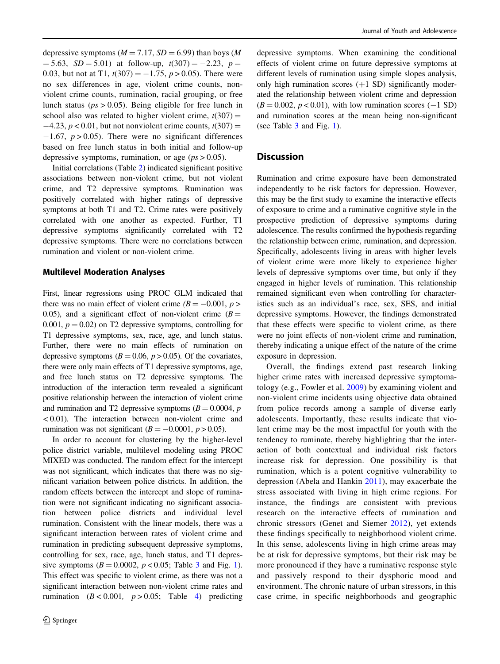depressive symptoms ( $M = 7.17$ ,  $SD = 6.99$ ) than boys (M)  $= 5.63$ ,  $SD = 5.01$ ) at follow-up,  $t(307) = -2.23$ ,  $p =$ 0.03, but not at T1,  $t(307) = -1.75$ ,  $p > 0.05$ ). There were no sex differences in age, violent crime counts, nonviolent crime counts, rumination, racial grouping, or free lunch status ( $ps > 0.05$ ). Being eligible for free lunch in school also was related to higher violent crime,  $t(307) =$  $-4.23$ ,  $p < 0.01$ , but not nonviolent crime counts,  $t(307) =$  $-1.67$ ,  $p > 0.05$ ). There were no significant differences based on free lunch status in both initial and follow-up depressive symptoms, rumination, or age  $(p_s > 0.05)$ .

Initial correlations (Table [2](#page-4-0)) indicated significant positive associations between non-violent crime, but not violent crime, and T2 depressive symptoms. Rumination was positively correlated with higher ratings of depressive symptoms at both T1 and T2. Crime rates were positively correlated with one another as expected. Further, T1 depressive symptoms significantly correlated with T2 depressive symptoms. There were no correlations between rumination and violent or non-violent crime.

#### Multilevel Moderation Analyses

First, linear regressions using PROC GLM indicated that there was no main effect of violent crime  $(B = -0.001, p >$ 0.05), and a significant effect of non-violent crime  $(B =$ 0.001,  $p = 0.02$ ) on T2 depressive symptoms, controlling for T1 depressive symptoms, sex, race, age, and lunch status. Further, there were no main effects of rumination on depressive symptoms ( $B = 0.06$ ,  $p > 0.05$ ). Of the covariates, there were only main effects of T1 depressive symptoms, age, and free lunch status on T2 depressive symptoms. The introduction of the interaction term revealed a significant positive relationship between the interaction of violent crime and rumination and T2 depressive symptoms  $(B = 0.0004, p$ < 0.01). The interaction between non-violent crime and rumination was not significant ( $B = -0.0001$ ,  $p > 0.05$ ).

In order to account for clustering by the higher-level police district variable, multilevel modeling using PROC MIXED was conducted. The random effect for the intercept was not significant, which indicates that there was no significant variation between police districts. In addition, the random effects between the intercept and slope of rumination were not significant indicating no significant association between police districts and individual level rumination. Consistent with the linear models, there was a significant interaction between rates of violent crime and rumination in predicting subsequent depressive symptoms, controlling for sex, race, age, lunch status, and T1 depressive symptoms  $(B = 0.0002, p < 0.05$ ; Table [3](#page-6-0) and Fig. [1](#page-6-0)). This effect was specific to violent crime, as there was not a significant interaction between non-violent crime rates and rumination  $(B < 0.001, p > 0.05;$  Table [4\)](#page-7-0) predicting

depressive symptoms. When examining the conditional effects of violent crime on future depressive symptoms at different levels of rumination using simple slopes analysis, only high rumination scores  $(+1 S<sub>D</sub>)$  significantly moderated the relationship between violent crime and depression  $(B = 0.002, p < 0.01)$ , with low rumination scores  $(-1 SD)$ and rumination scores at the mean being non-significant (see Table [3](#page-6-0) and Fig. [1](#page-6-0)).

# **Discussion**

Rumination and crime exposure have been demonstrated independently to be risk factors for depression. However, this may be the first study to examine the interactive effects of exposure to crime and a ruminative cognitive style in the prospective prediction of depressive symptoms during adolescence. The results confirmed the hypothesis regarding the relationship between crime, rumination, and depression. Specifically, adolescents living in areas with higher levels of violent crime were more likely to experience higher levels of depressive symptoms over time, but only if they engaged in higher levels of rumination. This relationship remained significant even when controlling for characteristics such as an individual's race, sex, SES, and initial depressive symptoms. However, the findings demonstrated that these effects were specific to violent crime, as there were no joint effects of non-violent crime and rumination, thereby indicating a unique effect of the nature of the crime exposure in depression.

Overall, the findings extend past research linking higher crime rates with increased depressive symptomatology (e.g., Fowler et al. [2009\)](#page-9-0) by examining violent and non-violent crime incidents using objective data obtained from police records among a sample of diverse early adolescents. Importantly, these results indicate that violent crime may be the most impactful for youth with the tendency to ruminate, thereby highlighting that the interaction of both contextual and individual risk factors increase risk for depression. One possibility is that rumination, which is a potent cognitive vulnerability to depression (Abela and Hankin [2011\)](#page-9-0), may exacerbate the stress associated with living in high crime regions. For instance, the findings are consistent with previous research on the interactive effects of rumination and chronic stressors (Genet and Siemer [2012\)](#page-9-0), yet extends these findings specifically to neighborhood violent crime. In this sense, adolescents living in high crime areas may be at risk for depressive symptoms, but their risk may be more pronounced if they have a ruminative response style and passively respond to their dysphoric mood and environment. The chronic nature of urban stressors, in this case crime, in specific neighborhoods and geographic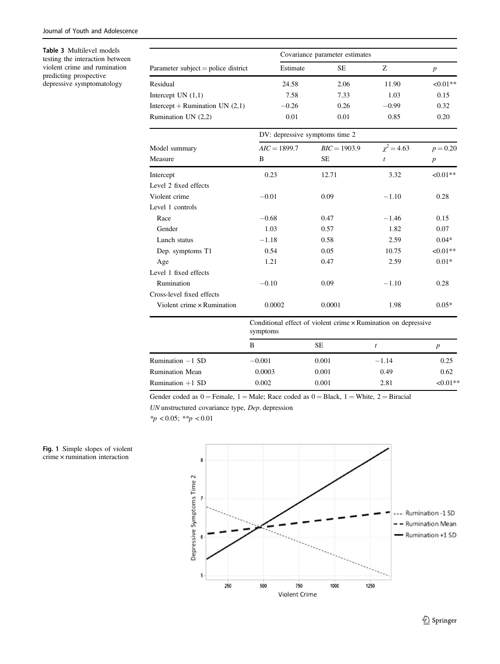<span id="page-6-0"></span>Table 3 Multilevel models testing the interaction between violent crime and rumination predicting prospective depressive symptomatology

|                                     | Covariance parameter estimates                                             |                |                  |                  |  |  |
|-------------------------------------|----------------------------------------------------------------------------|----------------|------------------|------------------|--|--|
| Parameter subject = police district | Estimate                                                                   | <b>SE</b>      | Z                | $\boldsymbol{p}$ |  |  |
| Residual                            | 24.58                                                                      | 2.06           | 11.90            | $<0.01**$        |  |  |
| Intercept UN $(1,1)$                | 7.58                                                                       | 7.33           | 1.03             | 0.15             |  |  |
| Intercept + Rumination UN $(2,1)$   | $-0.26$                                                                    | 0.26           | $-0.99$          | 0.32             |  |  |
| Rumination UN (2,2)                 | 0.01                                                                       | 0.01           | 0.85             | 0.20             |  |  |
|                                     | DV: depressive symptoms time 2                                             |                |                  |                  |  |  |
| Model summary                       | $AIC = 1899.7$                                                             | $BIC = 1903.9$ | $\chi^2 = 4.63$  | $p = 0.20$       |  |  |
| Measure                             | B                                                                          | SЕ             | $\boldsymbol{t}$ | p                |  |  |
| Intercept                           | 0.23                                                                       | 12.71          | 3.32             | $<0.01**$        |  |  |
| Level 2 fixed effects               |                                                                            |                |                  |                  |  |  |
| Violent crime                       | $-0.01$                                                                    | 0.09           | $-1.10$          | 0.28             |  |  |
| Level 1 controls                    |                                                                            |                |                  |                  |  |  |
| Race                                | $-0.68$                                                                    | 0.47           | $-1.46$          | 0.15             |  |  |
| Gender                              | 1.03                                                                       | 0.57           | 1.82             | 0.07             |  |  |
| Lunch status                        | $-1.18$                                                                    | 0.58           | 2.59             | $0.04*$          |  |  |
| Dep. symptoms T1                    | 0.54                                                                       | 0.05           | 10.75            | $<0.01**$        |  |  |
| Age                                 | 1.21                                                                       | 0.47           | 2.59             | $0.01*$          |  |  |
| Level 1 fixed effects               |                                                                            |                |                  |                  |  |  |
| Rumination                          | $-0.10$                                                                    | 0.09           | $-1.10$          | 0.28             |  |  |
| Cross-level fixed effects           |                                                                            |                |                  |                  |  |  |
| Violent crime $\times$ Rumination   | 0.0002                                                                     | 0.0001         | 1.98             | $0.05*$          |  |  |
|                                     | Conditional effect of violent crime x Rumination on depressive<br>symptoms |                |                  |                  |  |  |
|                                     | R                                                                          | SE             |                  |                  |  |  |

|                        | В        | SЕ    |         |            |
|------------------------|----------|-------|---------|------------|
| Rumination -1 SD       | $-0.001$ | 0.001 | $-1.14$ | 0.25       |
| <b>Rumination Mean</b> | 0.0003   | 0.001 | 0.49    | 0.62       |
| Rumination $+1$ SD     | 0.002    | 0.001 | 2.81    | $< 0.01**$ |

Gender coded as  $0 =$  Female,  $1 =$  Male; Race coded as  $0 =$  Black,  $1 =$  White,  $2 =$  Biracial

UN unstructured covariance type, Dep. depression

 $*_{p}$  < 0.05;  $*_{p}$  < 0.01



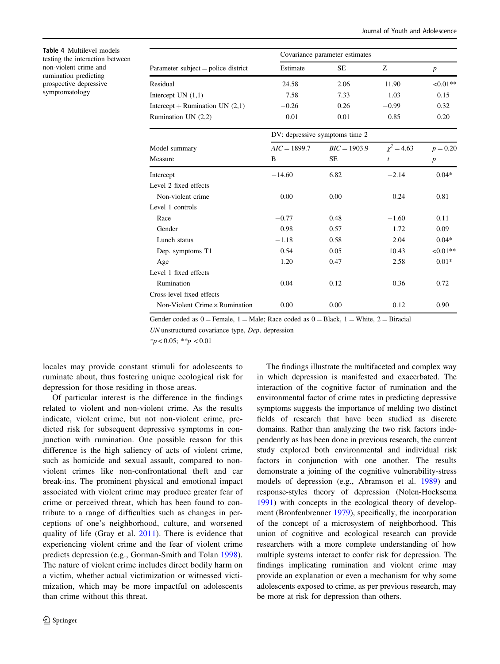<span id="page-7-0"></span>Table 4 Multilevel models testing the interaction between non-violent crime and rumination predicting prospective depressive symptomatology

|                                       | Covariance parameter estimates |                |                 |                  |  |  |  |
|---------------------------------------|--------------------------------|----------------|-----------------|------------------|--|--|--|
| Parameter subject $=$ police district | Estimate                       | <b>SE</b>      | Z               | $\boldsymbol{p}$ |  |  |  |
| Residual                              | 24.58                          | 2.06           | 11.90           | $< 0.01**$       |  |  |  |
| Intercept UN $(1,1)$                  | 7.58                           | 7.33           | 1.03            | 0.15             |  |  |  |
| Intercept + Rumination UN $(2,1)$     | $-0.26$                        | 0.26           | $-0.99$         | 0.32             |  |  |  |
| Rumination UN $(2,2)$                 | 0.01                           | 0.01           | 0.85            | 0.20             |  |  |  |
|                                       | DV: depressive symptoms time 2 |                |                 |                  |  |  |  |
| Model summary                         | $AIC = 1899.7$                 | $BIC = 1903.9$ | $\chi^2 = 4.63$ | $p = 0.20$       |  |  |  |
| Measure                               | B                              | <b>SE</b>      | t               | $\boldsymbol{p}$ |  |  |  |
| Intercept                             | $-14.60$                       | 6.82           | $-2.14$         | $0.04*$          |  |  |  |
| Level 2 fixed effects                 |                                |                |                 |                  |  |  |  |
| Non-violent crime                     | 0.00                           | 0.00           | 0.24            | 0.81             |  |  |  |
| Level 1 controls                      |                                |                |                 |                  |  |  |  |
| Race                                  | $-0.77$                        | 0.48           | $-1.60$         | 0.11             |  |  |  |
| Gender                                | 0.98                           | 0.57           | 1.72            | 0.09             |  |  |  |
| Lunch status                          | $-1.18$                        | 0.58           | 2.04            | $0.04*$          |  |  |  |
| Dep. symptoms T1                      | 0.54                           | 0.05           | 10.43           | $<0.01**$        |  |  |  |
| Age                                   | 1.20                           | 0.47           | 2.58            | $0.01*$          |  |  |  |
| Level 1 fixed effects                 |                                |                |                 |                  |  |  |  |
| Rumination                            | 0.04                           | 0.12           | 0.36            | 0.72             |  |  |  |
| Cross-level fixed effects             |                                |                |                 |                  |  |  |  |
| Non-Violent Crime $\times$ Rumination | 0.00                           | 0.00           | 0.12            | 0.90             |  |  |  |

Gender coded as  $0 =$  Female,  $1 =$  Male; Race coded as  $0 =$  Black,  $1 =$  White,  $2 =$  Biracial

UN unstructured covariance type, Dep. depression

 $*_{p}$  < 0.05;  $*_{p}$  < 0.01

locales may provide constant stimuli for adolescents to ruminate about, thus fostering unique ecological risk for depression for those residing in those areas.

Of particular interest is the difference in the findings related to violent and non-violent crime. As the results indicate, violent crime, but not non-violent crime, predicted risk for subsequent depressive symptoms in conjunction with rumination. One possible reason for this difference is the high saliency of acts of violent crime, such as homicide and sexual assault, compared to nonviolent crimes like non-confrontational theft and car break-ins. The prominent physical and emotional impact associated with violent crime may produce greater fear of crime or perceived threat, which has been found to contribute to a range of difficulties such as changes in perceptions of one's neighborhood, culture, and worsened quality of life (Gray et al. [2011\)](#page-9-0). There is evidence that experiencing violent crime and the fear of violent crime predicts depression (e.g., Gorman-Smith and Tolan [1998](#page-9-0)). The nature of violent crime includes direct bodily harm on a victim, whether actual victimization or witnessed victimization, which may be more impactful on adolescents than crime without this threat.

The findings illustrate the multifaceted and complex way in which depression is manifested and exacerbated. The interaction of the cognitive factor of rumination and the environmental factor of crime rates in predicting depressive symptoms suggests the importance of melding two distinct fields of research that have been studied as discrete domains. Rather than analyzing the two risk factors independently as has been done in previous research, the current study explored both environmental and individual risk factors in conjunction with one another. The results demonstrate a joining of the cognitive vulnerability-stress models of depression (e.g., Abramson et al. [1989](#page-9-0)) and response-styles theory of depression (Nolen-Hoeksema [1991](#page-10-0)) with concepts in the ecological theory of development (Bronfenbrenner [1979](#page-9-0)), specifically, the incorporation of the concept of a microsystem of neighborhood. This union of cognitive and ecological research can provide researchers with a more complete understanding of how multiple systems interact to confer risk for depression. The findings implicating rumination and violent crime may provide an explanation or even a mechanism for why some adolescents exposed to crime, as per previous research, may be more at risk for depression than others.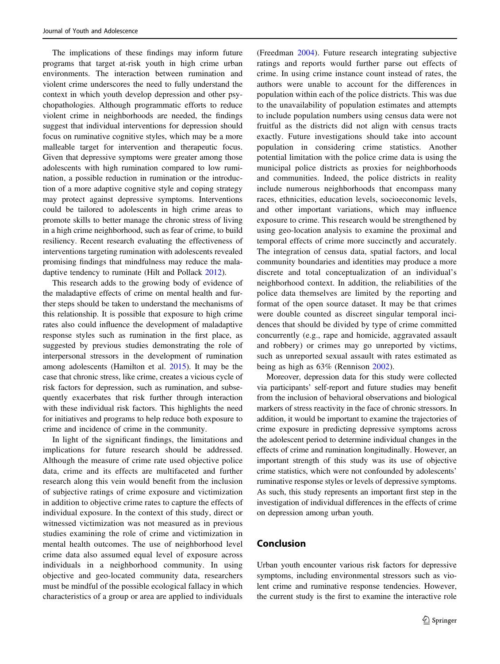The implications of these findings may inform future programs that target at-risk youth in high crime urban environments. The interaction between rumination and violent crime underscores the need to fully understand the context in which youth develop depression and other psychopathologies. Although programmatic efforts to reduce violent crime in neighborhoods are needed, the findings suggest that individual interventions for depression should focus on ruminative cognitive styles, which may be a more malleable target for intervention and therapeutic focus. Given that depressive symptoms were greater among those adolescents with high rumination compared to low rumination, a possible reduction in rumination or the introduction of a more adaptive cognitive style and coping strategy may protect against depressive symptoms. Interventions could be tailored to adolescents in high crime areas to promote skills to better manage the chronic stress of living in a high crime neighborhood, such as fear of crime, to build resiliency. Recent research evaluating the effectiveness of interventions targeting rumination with adolescents revealed promising findings that mindfulness may reduce the maladaptive tendency to ruminate (Hilt and Pollack [2012](#page-9-0)).

This research adds to the growing body of evidence of the maladaptive effects of crime on mental health and further steps should be taken to understand the mechanisms of this relationship. It is possible that exposure to high crime rates also could influence the development of maladaptive response styles such as rumination in the first place, as suggested by previous studies demonstrating the role of interpersonal stressors in the development of rumination among adolescents (Hamilton et al. [2015](#page-9-0)). It may be the case that chronic stress, like crime, creates a vicious cycle of risk factors for depression, such as rumination, and subsequently exacerbates that risk further through interaction with these individual risk factors. This highlights the need for initiatives and programs to help reduce both exposure to crime and incidence of crime in the community.

In light of the significant findings, the limitations and implications for future research should be addressed. Although the measure of crime rate used objective police data, crime and its effects are multifaceted and further research along this vein would benefit from the inclusion of subjective ratings of crime exposure and victimization in addition to objective crime rates to capture the effects of individual exposure. In the context of this study, direct or witnessed victimization was not measured as in previous studies examining the role of crime and victimization in mental health outcomes. The use of neighborhood level crime data also assumed equal level of exposure across individuals in a neighborhood community. In using objective and geo-located community data, researchers must be mindful of the possible ecological fallacy in which characteristics of a group or area are applied to individuals

(Freedman [2004\)](#page-9-0). Future research integrating subjective ratings and reports would further parse out effects of crime. In using crime instance count instead of rates, the authors were unable to account for the differences in population within each of the police districts. This was due to the unavailability of population estimates and attempts to include population numbers using census data were not fruitful as the districts did not align with census tracts exactly. Future investigations should take into account population in considering crime statistics. Another potential limitation with the police crime data is using the municipal police districts as proxies for neighborhoods and communities. Indeed, the police districts in reality include numerous neighborhoods that encompass many races, ethnicities, education levels, socioeconomic levels, and other important variations, which may influence exposure to crime. This research would be strengthened by using geo-location analysis to examine the proximal and temporal effects of crime more succinctly and accurately. The integration of census data, spatial factors, and local community boundaries and identities may produce a more discrete and total conceptualization of an individual's neighborhood context. In addition, the reliabilities of the police data themselves are limited by the reporting and format of the open source dataset. It may be that crimes were double counted as discreet singular temporal incidences that should be divided by type of crime committed concurrently (e.g., rape and homicide, aggravated assault and robbery) or crimes may go unreported by victims, such as unreported sexual assault with rates estimated as being as high as 63% (Rennison [2002](#page-10-0)).

Moreover, depression data for this study were collected via participants' self-report and future studies may benefit from the inclusion of behavioral observations and biological markers of stress reactivity in the face of chronic stressors. In addition, it would be important to examine the trajectories of crime exposure in predicting depressive symptoms across the adolescent period to determine individual changes in the effects of crime and rumination longitudinally. However, an important strength of this study was its use of objective crime statistics, which were not confounded by adolescents' ruminative response styles or levels of depressive symptoms. As such, this study represents an important first step in the investigation of individual differences in the effects of crime on depression among urban youth.

# Conclusion

Urban youth encounter various risk factors for depressive symptoms, including environmental stressors such as violent crime and ruminative response tendencies. However, the current study is the first to examine the interactive role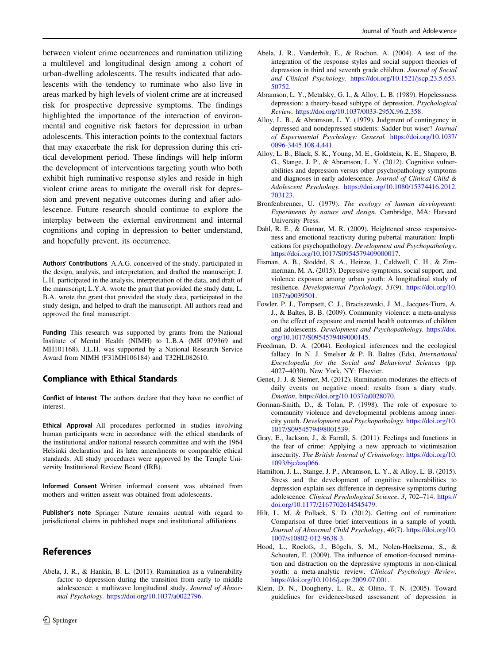<span id="page-9-0"></span>between violent crime occurrences and rumination utilizing a multilevel and longitudinal design among a cohort of urban-dwelling adolescents. The results indicated that adolescents with the tendency to ruminate who also live in areas marked by high levels of violent crime are at increased risk for prospective depressive symptoms. The findings highlighted the importance of the interaction of environmental and cognitive risk factors for depression in urban adolescents. This interaction points to the contextual factors that may exacerbate the risk for depression during this critical development period. These findings will help inform the development of interventions targeting youth who both exhibit high ruminative response styles and reside in high violent crime areas to mitigate the overall risk for depression and prevent negative outcomes during and after adolescence. Future research should continue to explore the interplay between the external environment and internal cognitions and coping in depression to better understand, and hopefully prevent, its occurrence.

Authors' Contributions A.A.G. conceived of the study, participated in the design, analysis, and interpretation, and drafted the manuscript; J. L.H. participated in the analysis, interpretation of the data, and draft of the manuscript; L.Y.A. wrote the grant that provided the study data; L. B.A. wrote the grant that provided the study data, participated in the study design, and helped to draft the manuscript. All authors read and approved the final manuscript.

Funding This research was supported by grants from the National Institute of Mental Health (NIMH) to L.B.A (MH 079369 and MH101168). J.L.H. was supported by a National Research Service Award from NIMH (F31MH106184) and T32HL082610.

## Compliance with Ethical Standards

Conflict of Interest The authors declare that they have no conflict of interest.

Ethical Approval All procedures performed in studies involving human participants were in accordance with the ethical standards of the institutional and/or national research committee and with the 1964 Helsinki declaration and its later amendments or comparable ethical standards. All study procedures were approved by the Temple University Institutional Review Board (IRB).

Informed Consent Written informed consent was obtained from mothers and written assent was obtained from adolescents.

Publisher's note Springer Nature remains neutral with regard to jurisdictional claims in published maps and institutional affiliations.

# References

Abela, J. R., & Hankin, B. L. (2011). Rumination as a vulnerability factor to depression during the transition from early to middle adolescence: a multiwave longitudinal study. Journal of Abnormal Psychology. [https://doi.org/10.1037/a0022796.](https://doi.org/10.1037/a0022796)

- Abela, J. R., Vanderbilt, E., & Rochon, A. (2004). A test of the integration of the response styles and social support theories of depression in third and seventh grade children. Journal of Social and Clinical Psychology. [https://doi.org/10.1521/jscp.23.5.653.](https://doi.org/10.1521/jscp.23.5.653.50752) [50752](https://doi.org/10.1521/jscp.23.5.653.50752).
- Abramson, L. Y., Metalsky, G. I., & Alloy, L. B. (1989). Hopelessness depression: a theory-based subtype of depression. Psychological Review. [https://doi.org/10.1037/0033-295X.96.2.358.](https://doi.org/10.1037/0033-295X.96.2.358)
- Alloy, L. B., & Abramson, L. Y. (1979). Judgment of contingency in depressed and nondepressed students: Sadder but wiser? Journal of Experimental Psychology: General. [https://doi.org/10.1037/](https://doi.org/10.1037/0096-3445.108.4.441) [0096-3445.108.4.441.](https://doi.org/10.1037/0096-3445.108.4.441)
- Alloy, L. B., Black, S. K., Young, M. E., Goldstein, K. E., Shapero, B. G., Stange, J. P., & Abramson, L. Y. (2012). Cognitive vulnerabilities and depression versus other psychopathology symptoms and diagnoses in early adolescence. Journal of Clinical Child & Adolescent Psychology. [https://doi.org/10.1080/15374416.2012.](https://doi.org/10.1080/15374416.2012.703123) [703123.](https://doi.org/10.1080/15374416.2012.703123)
- Bronfenbrenner, U. (1979). The ecology of human development: Experiments by nature and design. Cambridge, MA: Harvard University Press.
- Dahl, R. E., & Gunnar, M. R. (2009). Heightened stress responsiveness and emotional reactivity during pubertal maturation: Implications for psychopathology. Development and Psychopathology, [https://doi.org/10.1017/S0954579409000017.](https://doi.org/10.1017/S0954579409000017)
- Eisman, A. B., Stoddrd, S. A., Heinze, J., Caldwell, C. H., & Zimmerman, M. A. (2015). Depressive symptoms, social support, and violence exposure among urban youth: A longitudinal study of resilience. Developmental Psychology, 51(9). [https://doi.org/10.](https://doi.org/10.1037/a0039501) [1037/a0039501.](https://doi.org/10.1037/a0039501)
- Fowler, P. J., Tompsett, C. J., Braciszewski, J. M., Jacques-Tiura, A. J., & Baltes, B. B. (2009). Community violence: a meta-analysis on the effect of exposure and mental health outcomes of children and adolescents. Development and Psychopathology. [https://doi.](https://doi.org/10.1017/S0954579409000145) [org/10.1017/S0954579409000145.](https://doi.org/10.1017/S0954579409000145)
- Freedman, D. A. (2004). Ecological inferences and the ecological fallacy. In N. J. Smelser & P. B. Baltes (Eds), International Encyclopedia for the Social and Behavioral Sciences (pp. 4027–4030). New York, NY: Elsevier.
- Genet, J. J. & Siemer, M. (2012). Rumination moderates the effects of daily events on negative mood: results from a diary study. Emotion, <https://doi.org/10.1037/a0028070>.
- Gorman-Smith, D., & Tolan, P. (1998). The role of exposure to community violence and developmental problems among innercity youth. Development and Psychopathology. [https://doi.org/10.](https://doi.org/10.1017/S0954579498001539) [1017/S0954579498001539.](https://doi.org/10.1017/S0954579498001539)
- Gray, E., Jackson, J., & Farrall, S. (2011). Feelings and functions in the fear of crime: Applying a new approach to victimisation insecurity. The British Journal of Criminology. [https://doi.org/10.](https://doi.org/10.1093/bjc/azq066) [1093/bjc/azq066](https://doi.org/10.1093/bjc/azq066).
- Hamilton, J. L., Stange, J. P., Abramson, L. Y., & Alloy, L. B. (2015). Stress and the development of cognitive vulnerabilities to depression explain sex difference in depressive symptoms during adolescence. Clinical Psychological Science, 3, 702–714. [https://](https://doi.org/10.1177/2167702614545479) [doi.org/10.1177/2167702614545479](https://doi.org/10.1177/2167702614545479).
- Hilt, L. M. & Pollack, S. D. (2012). Getting out of rumination: Comparison of three brief interventions in a sample of youth. Journal of Abnormal Child Psychology, 40(7). [https://doi.org/10.](https://doi.org/10.1007/s10802-012-9638-3) [1007/s10802-012-9638-3.](https://doi.org/10.1007/s10802-012-9638-3)
- Hood, L., Roelofs, J., Bögels, S. M., Nolen-Hoeksema, S., & Schouten, E. (2009). The influence of emotion-focused rumination and distraction on the depressive symptoms in non-clinical youth: a meta-analytic review. Clinical Psychology Review. <https://doi.org/10.1016/j.cpr.2009.07.001>.
- Klein, D. N., Dougherty, L. R., & Olino, T. N. (2005). Toward guidelines for evidence-based assessment of depression in